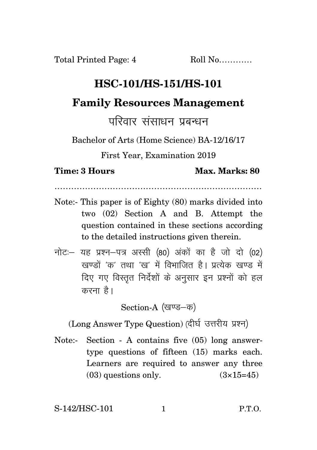## **HSC-101/HS-151/HS-101**

## **Family Resources Management**

## परिवार संसाधन पहन्धन

Bachelor of Arts (Home Science) BA-12/16/17

First Year, Examination 2019

**Time: 3 Hours Max. Marks: 80** 

…………………………………………………………………

- Note:- This paper is of Eighty (80) marks divided into two (02) Section A and B. Attempt the question contained in these sections according to the detailed instructions given therein.
- $\vec{\eta}$ नोटः यह प्रश्न-पत्र अस्सी (80) अंकों का है जो दो (02)  $\vec{y}$ रवण्डों 'क' तथा 'रव' में विभाजित है। पत्थेक रवण्ड में दिए गए विस्तृत निर्देशों के अनुसार इन प्रश्नों को हल करना $\hat{g}$ ।

Section-A (खण्ड–क)

(Long Answer Type Question) (दीर्घ उत्तरीय प्रश्न)

Note:- Section - A contains five (05) long answertype questions of fifteen (15) marks each. Learners are required to answer any three  $(03)$  questions only.  $(3\times15=45)$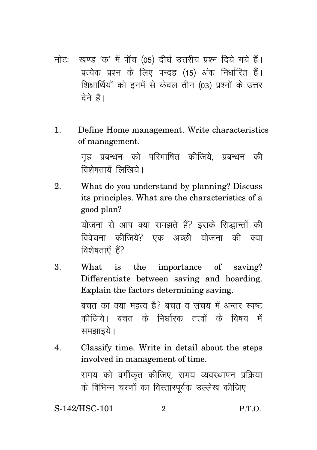- नोट: खण्ड 'क' में पाँच (05) दीर्घ उत्तरीय प्रश्न दिये गये हैं। प्रत्येक प्रश्न के लिए पन्द्रह (15) अंक निर्धारित हैं। शिक्षार्थियों को इनमें से केवल तीन (03) प्रश्नों के उत्तर  $\vec{a}$ ने हैं।
- 1. Define Home management. Write characteristics of management.

गह प्रबन्धन को परिभाषित कीजिये, प्रबन्धन की विशेषतायें लिखिये ।

2. What do you understand by planning? Discuss its principles. What are the characteristics of a good plan?

> योजना से आप क्या समझते हैं? इसके सिद्धान्तों की विवेचना कीजिये $\cdot$  एक अच्छी योजना की क्या विशेषताएँ हैं?

3. What is the importance of saving? Differentiate between saving and hoarding. Explain the factors determining saving. बचत का क्या महत्व है? बचत व संचय में अन्तर स्पष्ट कीजिये। बचत के निर्धारक तत्वों के विषय में समझाइये।

4. Classify time. Write in detail about the steps involved in management of time. समय को वर्गीकृत कीजिए, समय व्यवस्थापन प्रक्रिया के विभिन्न चरणों का विस्तारपूर्वक उल्लेख कीजिए

S-142/HSC-101 2 P.T.O.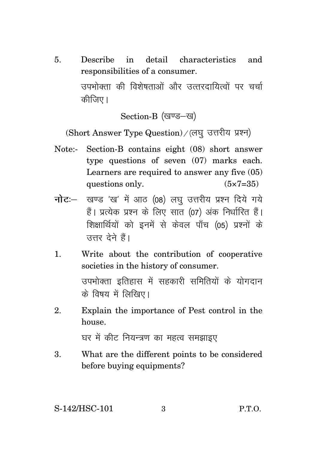5. Describe in detail characteristics and responsibilities of a consumer. उपभोक्ता की विशेषताओं और उत्तरदायित्वों पर चर्चा कीजिए ।

Section-B (खण्ड-ख)

 $(Short$  Answer Type Question) / (लघु उत्तरीय प्रश्न)

- Note:- Section-B contains eight (08) short answer type questions of seven (07) marks each. Learners are required to answer any five (05) questions only.  $(5 \times 7 = 35)$
- **नोट**: खण्ड 'ख' में आठ (08) लघ उत्तरीय प्रश्न दिये गये हैं। प्रत्येक प्रश्न के लिए सात (07) अंक निर्धारित हैं। शिक्षार्थियों को इनमें से केवल पाँच (05) प्रश्नों के उत्तर देने हैं।
- 1. Write about the contribution of cooperative societies in the history of consumer. उपभोक्ता इतिहास में सहकारी समितियों के योगदान के विषय में लिखिए।
- 2. Explain the importance of Pest control in the house.

घर में कीट नियन्त्रण का महत्व समझाइए

3. What are the different points to be considered before buying equipments?